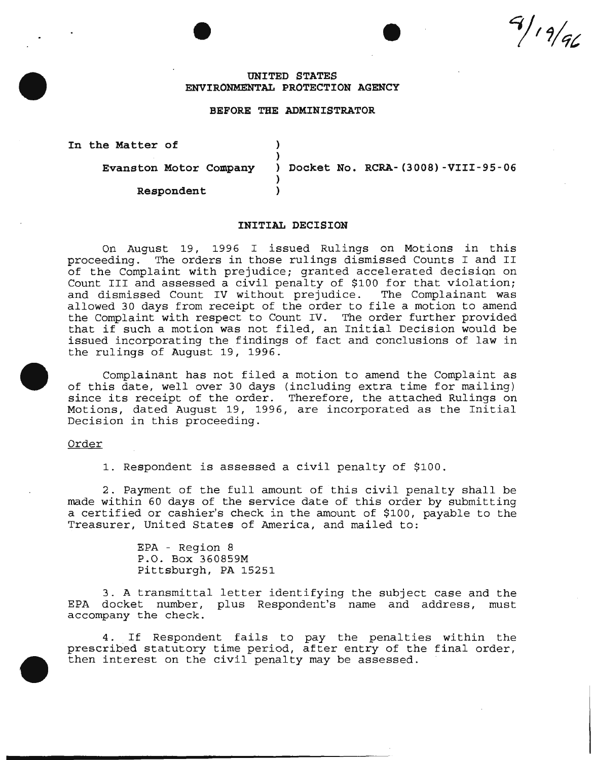$9/19/96$ 

## **UNITED STATES ENVIRONMENTAL PROTECTION AGENCY**

## **BEFORE THE ADMINISTRATOR**

)

) )

**In the Matter of** )

**Evanston Motor Company** 

**Respondent** 

) **Docket No. RCRA-(3008)-VIII-95-06** 

#### **INITIAL DECISION**

On August 19, 1996 I issued Rulings on Motions in this proceeding. The orders in those rulings dismissed Counts I and II of the Complaint with prejudice; granted accelerated decision on Count III and assessed a civil penalty of \$100 for that violation; and dismissed Count IV without prejudice. The Complainant was allowed 30 days from receipt of the order to file a motion to amend the Complaint with respect to Count IV. The order further provided that if such a motion was not filed, an Initial Decision would be issued incorporating the findings of fact and conclusions of law in the rulings of August 19, 1996.

Complainant has not filed a motion to amend the Complaint as of this date, well over 30 days (including extra time for mailing) since its receipt of the order. Therefore, the attached Rulings on Motions, dated August 19, 1996, are incorporated as the Initial Decision in this proceeding.

Order

1. Respondent is assessed a civil penalty of \$100.

2. Payment of the full amount of this civil penalty shall be made within 60 days of the service date of this order by submitting a certified or cashier's check in the amount of \$100, payable to the Treasurer, United States of America, and mailed to:

> EPA - Region 8 P.O. Box 360859M Pittsburgh, PA 15251

3. A transmittal letter identifying the subject case and the EPA docket number, plus Respondent's name and address, must accompany the check.

4. If Respondent fails to pay the penalties within the prescribed statutory time period, after entry of the final order, then interest on the civil penalty may be assessed.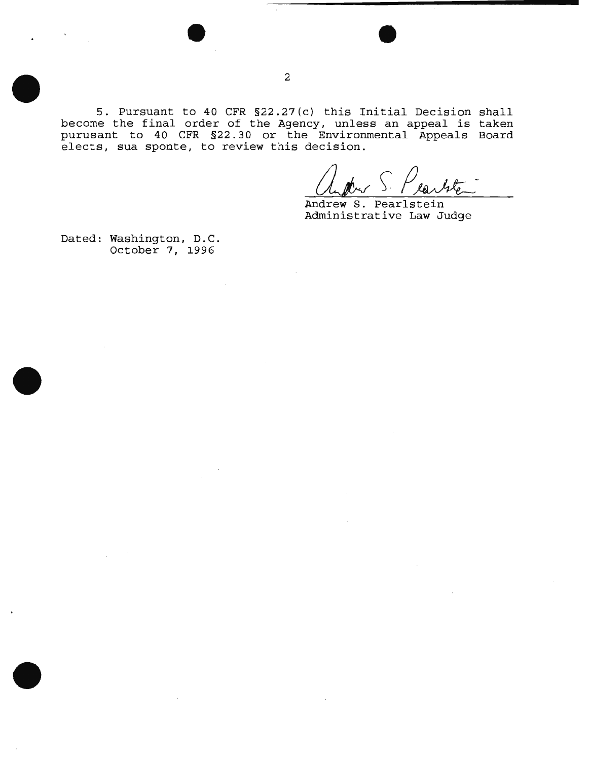5. Pursuant to 40 CFR §22.27(c) this Initial Decision shall become the final order of the Agency, unless an appeal is taken purusant to 40 CFR §22. 30 or the Environmental Appeals Board elects, sua sponte, to review this decision.

Andrew S. Pearlstein Administrative Law Judge

Dated: Washington, D.C. October 7, 1996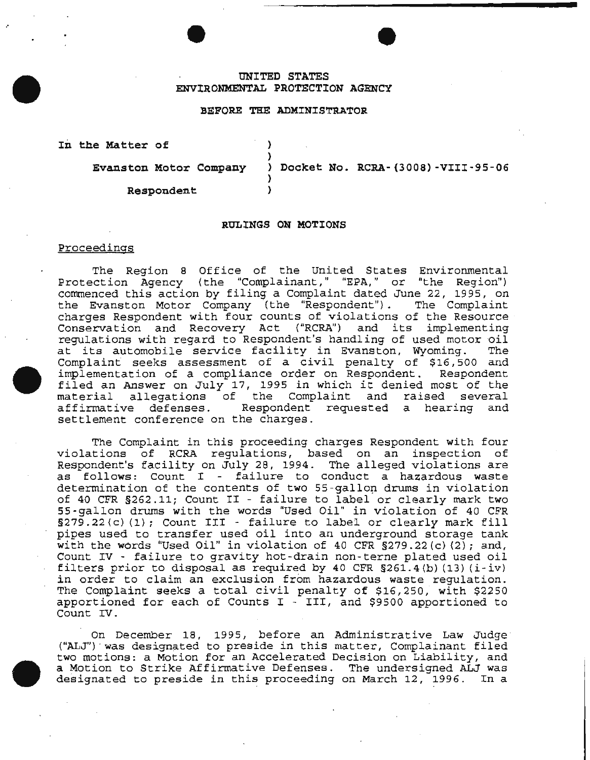# **UNITED STATES ENVIRONMENTAL PROTECTION AGENCY**

### **BEFORE THE ADMINISTRATOR**

) )

)

**In the Matter of** 

**Evanston Motor Company** ) **Docket No. RCRA-(3008)-VIII-95-06** 

**Respondent** )

#### **RULINGS ON MOTIONS**

## Proceedings

The Region 8 Office of the United States Environmental Protection Agency (the "Complainant," "EPA," or "the Region") commenced this action by filing a Complaint dated June 22, 1995, on the Evanston Motor Company (the "Respondent"). The Complaint charges Respondent with four counts of violations of the Resource Conservation and Recovery Act ("RCRA") and its implementing regulations with regard to Respondent's handling of used motor oil at its automobile service facility in Evanston, Wyoming. The Complaint seeks assessment of a civil penalty of \$16,500 and implementation of a compliance order on Respondent. Respondent filed an Answer on July 17, 1995 in which it denied most of the<br>material allegations of the Complaint and raised several allegations of the Complaint and raised several affirmative defenses. Respondent requested a hearing and settlement conference on the charges.

The Complaint in this proceeding charges Respondent with four violations of RCRA regulations, based on an inspection of Respondent's facility on July 28, 1994. The alleged violations are as follows: Count I - failure to conduct a hazardous waste determination of the contents of two 55-gallon drums in violation of 40 CFR §262.11; Count II - failure to label or clearly mark two 55 -gallon drums with the words "Used Oil" in violation of 40 CFR §279.22(c) (1); Count III - failure to label or clearly mark fill pipes used to transfer used oil into an underground storage tank with the words "Used Oil" in violation of 40 CFR  $\S$ 279.22(c)(2); and, Count IV - failure to gravity hot-drain non-terne plated used oil filters prior to disposal as required by 40 CFR  $§261.4(b)$  (13) (i-iv) in order to claim an exclusion from hazardous waste regulation. The Complaint seeks a total civil penalty of \$16,250, with \$2250 apportioned for each of Counts I - III, and \$9500 apportioned to Count IV.

On December 18, 1995, before an Administrative Law Judge ("ALJ'') · was designated to preside in this matter, Complainant filed two motions: a Motion for an Accelerated Decision on Liabil ity, and a Motion to Strike Affirmative Defenses. The undersigned ALJ was designated to preside in this proceeding on March 12, 1996. In a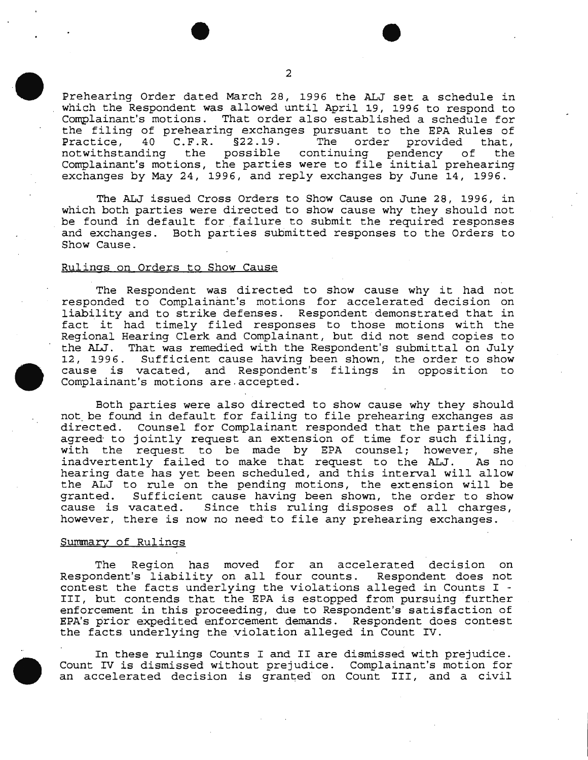Prehearing Order dated March 28, 1996 the ALJ set a schedule in which the Respondent was allowed until April 19, 1996 to respond to Complainant's motions. That order also established a schedule for the filing of prehearing exchanges pursuant to the EPA Rules of<br>Practice, 40 C.F.R. §22.19. The order provided that, 40 C.F.R. §22.19. The order provided that,<br>ding the possible continuing pendency of the notwithstanding the possible continuing pendency of Complainant's motions, the parties were to file initial prehearing exchanges by May 24, 1996, and reply exchanges by June 14, 1996.

The ALJ issued Cross Orders to Show Cause on June 28, 1996, in which both parties were directed to show cause why they should not be found in default for failure to submit the required responses and exchanges. Both parties submitted responses to the Orders to Show Cause.

# Rulings on Orders to Show Cause

The Respondent was directed to show cause why it had not responded to Complainant's motions for accelerated decision on liability and to strike defenses. Respondent demonstrated that in fact it had timely filed responses to those motions with the Regional Hearing Clerk and Complainant, but did not send copies to the ALJ. That was remedied with the Respondent's submittal on July 12, 1996. Sufficient cause having been shown, the order to show cause is vacated, and Respondent's filings in opposition to Complainant's motions are.accepted.

Both parties were also directed to show cause why they should not. be found in default for failing to file prehearing exchanges as directed. Counsel for Complainant responded that the parties had agreed to jointly request an extension of time for such filing, with the request to be made by EPA counsel; however, she inadvertently failed to make that request to the ALJ. As no hearing date has yet been scheduled, and this interval will allow the ALJ to rule on the pending motions, the extension will be granted. Sufficient cause having been shown, the order to show Sufficient cause having been shown, the order to show cause is vacated. Since this ruling disposes of all charges, however, there is now no need to file any prehearing exchanges.

#### Summary of Rulings

The Region has moved for an accelerated decision on Respondent's liability on all four counts. Respondent does not contest the facts underlying the violations alleged in Counts I - III, but contends that the EPA is estopped from pursuing further enforcement in this proceeding, due to Respondent's satisfaction of EPA's prior expedited enforcement demands. Respondent does contest the facts underlying the violation alleged in Count IV.

In these rulings Counts I and II are dismissed with prejudice. Count IV is dismissed without prejudice. Complainant's motion for an accelerated decision is granted on Count III, and a civil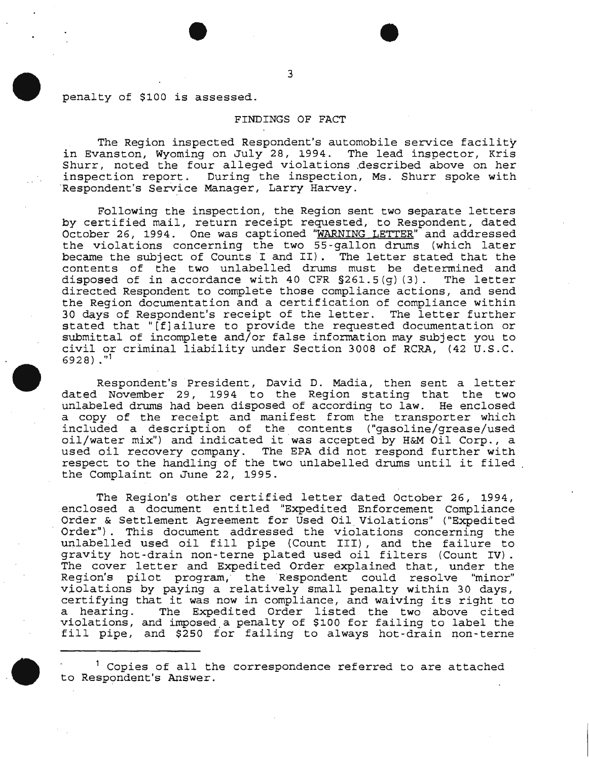penalty of \$100 is assessed.

# FINDINGS OF FACT

The Region inspected Respondent's automobile service facility in Evanston, Wyoming on July 28, 1994. The lead inspector, Kris Shurr, noted the four alleged violations .described above on her inspection report. During the inspection, Ms. Shurr spoke with <br>Respondent's Service Manager, Larry Harvey.

Following the inspection, the Region sent two separate letters by certified mail, return receipt requested, to Respondent, dated October 26, 1994. One was captioned "WARNING LETTER" and addressed the violations concerning the two 55-gallon drums (which later became the subject of Counts I and II). The letter stated that the contents of the two unlabelled drums must be determined and disposed of in accordance with 40 CFR  $\S261.5(q)$  (3). The letter disposed of in accordance with 40 CFR  $$261.5(g)$  (3). directed Respondent to complete those compliance actions, and send the Region documentation and a certification of compliance within 30 days of Respondent's receipt of the letter. The letter further stated that "[f]ailure to provide the requested documentation or submittal of incomplete and/or false information may subject you to civil or criminal liability under Section 3008 of RCRA, (42 U.S.C.  $6928)$ ."<sup>1</sup>

Respondent's President, David D. Madia, then sent a letter dated November 29, 1994 to the Region stating that the two unlabeled drums had been disposed of according to law. He enclosed a copy of the receipt and manifest from the transporter which included a description of the contents ("gasciline/grease/used oil/water mix") and indicated it was accepted by H&M Oil Corp., a used oil recovery company. The EPA did not respond further with respect to the handling of the two unlabelled drums until it filed the Complaint on June 22, 1995.

The Region's other certified letter dated October 26, 1994, .enclosed a document entitled "Expedited Enforcement Compliance Order & Settlement Agreement for Used Oil Violations" ("Expedited Order") . This document addressed the violations concerning the unlabelled used oil fill pipe (Count III) , and the failure to gravity hot-drain non-terne plated used oil filters (Count IV). The cover letter and Expedited Order explained that, under the Region's pilot program, the Respondent could resolve "minor" violations by paying a relatively small penalty within 30 days, certifying that it was now in compliance, and waiving its right to a hearing. The Expedited Order listed the two above cited violations, and imposed . a penalty of \$100 for failing to label the fill pipe, and \$250 for failing to always hot-drain non-terne

 $1$  Copies of all the correspondence referred to are attached to Respondent's Answer.

3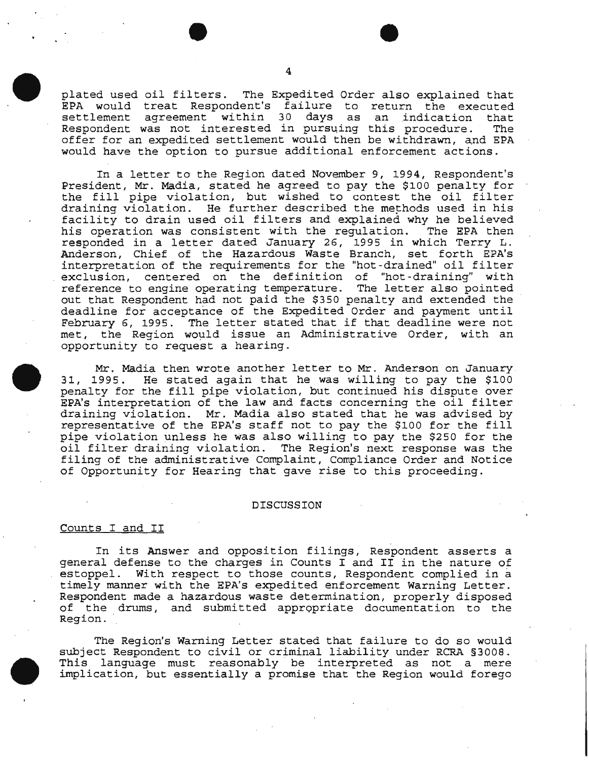plated used oil filters. The Expedited Order also explained that EPA would treat Respondent's failure to return the executed settlement agreement within 30 days as an indication that<br>Respondent was not interested in pursuing this procedure. The Respondent was not interested in pursuing this procedure. offer for an expedited settlement would then be withdrawn, and EPA would have the option to pursue additional enforcement actions.

In a letter to the Region dated November 9, 1994, Respondent's President, Mr. Madia, stated he agreed to pay the \$100 penalty for the fill pipe violation, but wished to contest the oil filter draining violation. He further described the methods used in his facility to drain used oil filters and explained why he believed his operation was consistent with the regulation. The EPA then responded in a letter dated January 26, 1995 in which Terry L. Anderson, Chief of the Hazardous Waste Branch, set forth EPA's interpretation of the requirements for the "hot-drained" oil filter exclusion, centered on the definition of "hot-draining" with reference to engine operating temperature. The letter also pointed out that Respondent had not paid the \$350 penalty and extended the deadline for acceptance of the Expedited Order and payment until February 6, 1995. The letter stated that if that deadline were not met, the Region would issue an Administrative Order, with an opportunity to request a hearing.

Mr. Madia then wrote another letter to Mr. Anderson on January 31, 1995. He stated again that he was willing to pay the \$100 penalty for the fill pipe violation, but continued his dispute over EPA's interpretation of the law and facts concerning the oil filter draining violation. Mr. Madia also stated that he was advised by representative of the EPA's staff not to pay the \$100 for the fill pipe violation unless he was also willing to pay the \$250 for the oil filter draining violation. The Region's next response was the filing of the administrative Complaint, Compliance Order and Notice of Opportunity for Hearing that gave rise to this proceeding.

### DISCUSSION

# Counts I and II

In its Answer and opposition filings, Respondent asserts a general defense to the charges in Counts I and II in the nature of estoppel. With respect to those counts, Respondent complied in a timely manner with the EPA's expedited enforcement Warning Letter. Respondent made a hazardous waste determination, properly disposed of the drums, and submit ted appropriate documentation to the Region.

The Region's Warning Letter stated that failure to do so would subject Respondent to civil or criminal liability under RCRA §3008. This language must reasonably be interpreted as not a mere implication, but essentially a promise that the Region would forego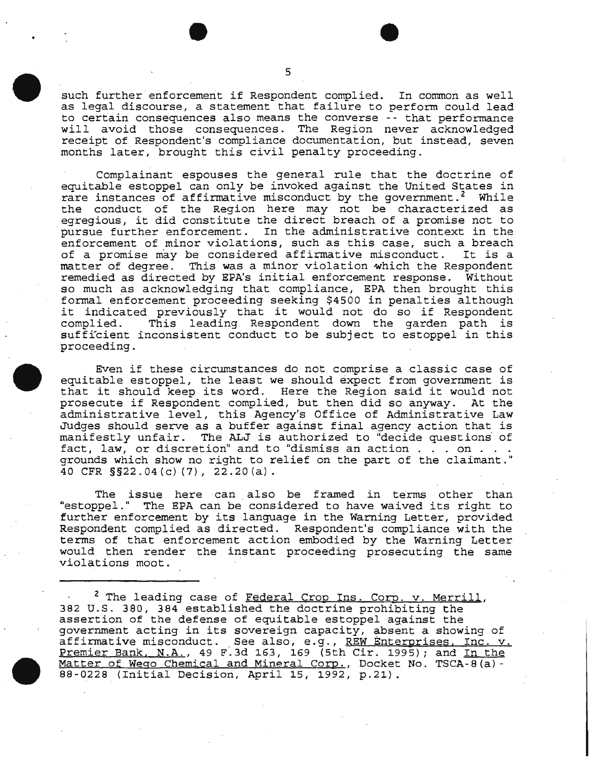such further enforcement if Respondent complied. In common as well as legal discourse, a statement that failure to perform could lead to certain consequences also means the converse -- that performance will avoid those consequences. The Region never acknowledged receipt of Respondent's compliance documentation, but instead, seven months later, brought this civil penalty proceeding. ·

Complainant espouses the general rule that the doctrine of equitable estoppel can only be invoked against the United States in rare instances of affirmative misconduct by the government.<sup>2</sup> While the conduct of the Region here may not be characterized as egregious, it did constitute the direct breach of a promise not to pursue further enforcement. In the administrative context in the enforcement of minor violations, such as this case, such a breach<br>of a promise may be considered affirmative misconduct. It is a of a promise may be considered affirmative misconduct. matter of degree. This was a minor violation which the Respondent remedied as directed by EPA's initial enforcement response. Without so much as acknowledging that compliance, EPA then brought this formal enforcement proceeding seeking \$4500 in penalties although it indicated previously that it would not do so if Respondent This leading Respondent down the garden path is sufficient inconsistent conduct to be subject to estoppel in this proceeding.

Even if these circumstances do not comprise a classic case of equitable estoppel, the least we should expect from government is that it should keep its word. Here the Region said it would not prosecute if Respondent complied, but then did so anyway. At the administrative level, this Agency's Office of Administrative Law Judges should serve as a buffer against final agency action that is manifestly unfair. The ALJ is authorized to "decide questions· of fact, law, or discretion" and to "dismiss an action  $\dots$  on  $\dots$ . grounds which show no right to relief on the part of the claimant." 40 CFR § § 22.04 (c) (7), 22.20 (a).

The issue here can also be framed in terms other than "estoppel." The EPA can be considered to have waived its right to further enforcement by its language in the Warning Letter, provided Respondent complied as directed. Respondent's compliance with the terms of that enforcement action embodied by the Warning Letter would then render the instant proceeding prosecuting the same violations moot.

<sup>2</sup> The leading case of Federal Crop Ins. Corp. v. Merrill, 382 U.S. 380, 384 established the doctrine prohibiting the assertion of the defense of equitable estoppel against the government acting in its sovereign capacity, absent a showing of government acting in its sovereign expactly, assent a showing of a firmative misconduct. See also, e.g., REW Enterprises, Inc. v. Premier Bank, N.A., 49 F.3d 163, 169 (5th Cir. 1995); and <u>In the</u> Matter of Wego Chemical and Mineral Corp., Docket No. TSCA-8(a)- 88-0228 (Initial Decision, April 15, 1992, p.21).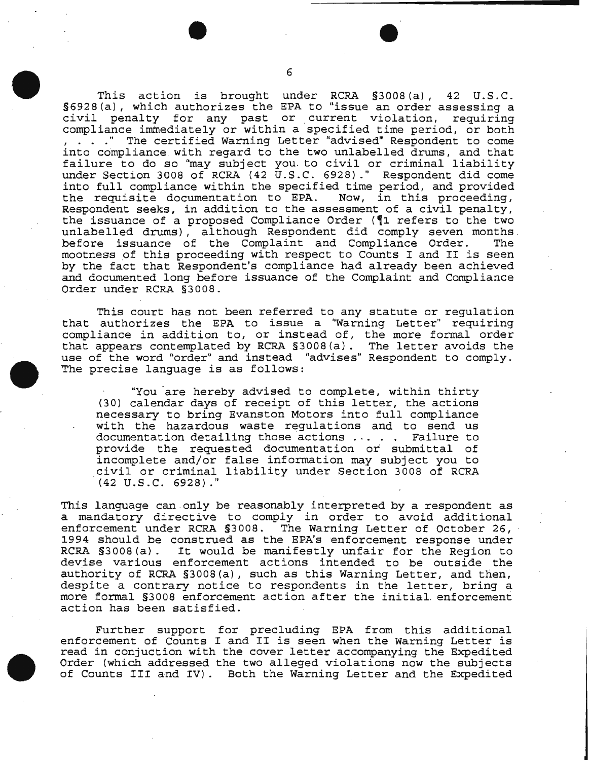This action is brought under RCRA §3008(a), 42 U.S.C. §6928(a), which authorizes the EPA to "issue an order assessing a civil penalty for any past or current violation, requiring<br>compliance immediately or within a specified time period, or both , . . . " The certified Warning Letter "advised" Respondent to come into compliance with regard to the two unlabelled drums, and that failure to do so "may subject you. to civil or criminal liability under Section 3008 of RCRA (42 U.S.C. 6928) ." Respondent did come into full compliance within the specified time period, and provided<br>the requisite documentation to EPA. Now, in this proceeding, the requisite documentation to EPA. Respondent seeks, in addition to the assessment of a civil penalty, the issuance of a proposed Compliance Order ( $\P$ 1 refers to the two unlabelled drums), although Respondent did comply seven months. before issuance of the Complaint and Compliance Order. The mootness of this proceeding with respect to Counts I and II is seen by the fact that Respondent's compliance had already been achieved and documented long before issuance of the Complaint and Compliance Order under RCRA §3008.

This court has not been referred to any statute or regulation that authorizes the EPA to issue a "Warning Letter" requiring compliance in addition to, or instead of, the more formal order that appears contemplated by RCRA §3008(a). The letter avoids the use of the word "order" and instead "advises" Respondent to comply. The precise language is as follows:

"You are hereby advised to complete, within thirty (30) calendar days of receipt of this letter, the actions necessary to bring Evanston Motors into full compliance with the hazardous waste regulations and to send us documentation detailing those actions ..... Failure to documentation detailing those actions ... . . Failure to<br>provide the requested documentation or submittal of<br>incomplete and/or false information may subject you to civil or criminal liability under Section 3008 of RCRA (42 u.s.c. 6928) ."

This language can only be reasonably interpreted by a respondent as a mandatory directive to comply in order to avoid additional enforcement under RCRA §3008. The Warning Letter of October 26, 1994 should be construed as the EPA's enforcement response under RCRA §3008(a). It would be manifestly unfair for the Region to devise various enforcement actions intended to be outside the authority of RCRA §3008(a), such as this Warning Letter, and then, despite a contrary notice to respondents in the letter, bring a more formal §3008 enforcement action after the initial. enforcement action has been satisfied.

Further support for precluding EPA from this additional enforcement of Counts I and II is seen when the Warning Letter is read in conjuction with the cover letter accompanying the Expedited Order (which addressed the two alleged violations now the subjects of Counts III and IV) . Both the Warning Letter and the Expedited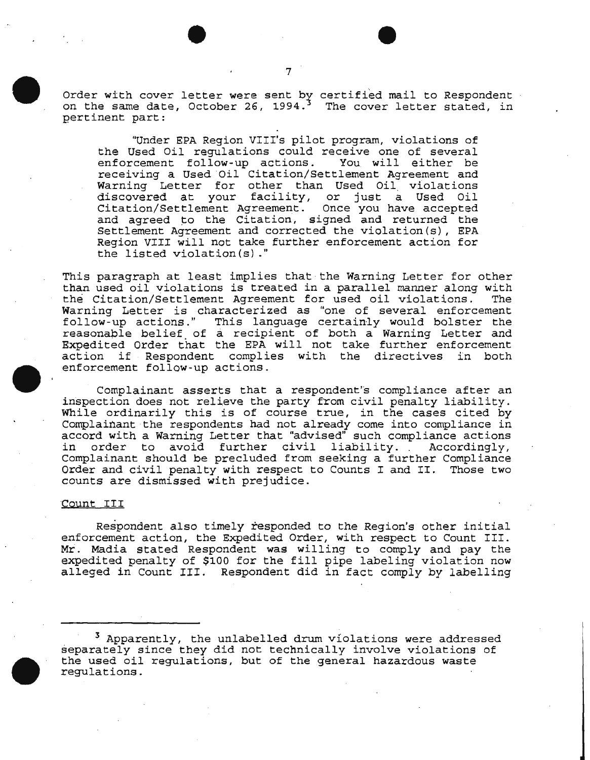Order with cover letter were sent by certified mail to Respondent order with cover recter were send by certified mail to respondent<br>on the same date, October 26, 1994.<sup>3</sup> The cover letter stated, in pertinent part:

"Under EPA Region VIII's pilot program, violations of the Used Oil regulations could receive one of several<br>enforcement follow-up actions. You will either be enforcement follow-up actions. receiving a Used Oil Citation/Settlement Agreement and Warning Letter for other than Used Oil violations discovered at your facility, or just a Used Oil Citation/Settlement Agreement. Once you have accepted and agreed to the Citation, signed and returned the Settlement Agreement and corrected the violation(s), EPA Region VIII will not take further enforcement action for the listed violation(s) ."

This paragraph at least implies that the Warning Letter for other than used oil violations is treated in a parallel manner along with the Citation/Settlement Agreement for used oil violations. Warning Letter is characterized as "one of several enforcement follow-up actions." This language certainly would bolster the reasonable belief of a recipient of both a Warning Letter and Expedited Order that the EPA will not take further enforcement<br>action if Respondent complies with the directives in both action if Respondent complies with the directives enforcement follow-up actions.

Complainant asserts that a respondent''s compliance after an inspection does not relieve the party from civil penalty liability. While ordinarily this is of course true, in the cases cited by Complainant the respondents had not already come into compliance in accord with a Warning Letter that "advised" such compliance actions in order to avoid further civil liability. . Accordingly, Complainant should be precluded from seeking a further Compliance Order and civil penalty with respect to Counts I and II. Those two counts are dismissed with prejudice.

### Count III

Respondent also timely responded to the Region's other initial enforcement action, the Expedited Order, with respect to Count III. Mr. Madia stated Respondent was willing to comply and pay the expedited penalty of \$100 for the fill pipe labeling violation now alleged in Count III. Respondent did in fact comply by labelling

<sup>3</sup> Apparently, the unlabelled drum violations were addressed separately since they did not technically involve violations of the used oil regulations, but of the general hazardous waste regulations.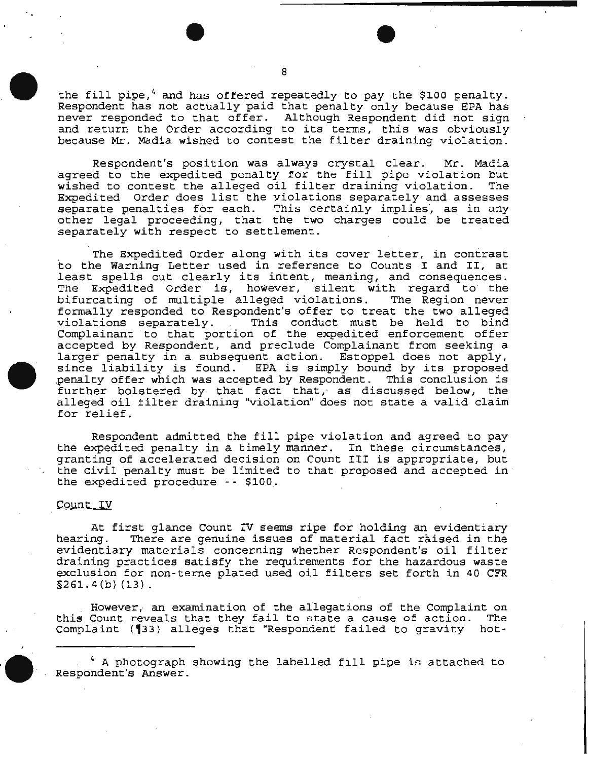the fill pipe, $4$  and has offered repeatedly to pay the \$100 penalty. Respondent has not actually paid that penalty only because EPA has never responded to that offer. Although Respondent did not sign and return the Order according to its terms, this was obviously because Mr. Madia wished to contest the filter draining violation.

Respondent's position was always crystal clear. Mr. Madia agreed to the expedited penalty for the fill pipe violation but<br>wished to contest the alleged oil filter draining violation. The wished to contest the alleged oil filter draining violation. Expedited Order does list the violations separately and assesses separate penalties for each. This certainly implies, as in any other legal proceeding, that the two charges could be treated separately with respect to settlement.

The Expedited Order along with its cover letter, in contrast to the Warning Letter used *in* reference to Counts I and II, at least spells out clearly its intent, meaning, and consequences. The Expedited Order is, however, silent with regard to· the bifurcating of multiple alleged violations. The Region never formally responded to Respondent's offer to treat the two alleged This conduct must be held to bind Complainant to that portion of the expedited enforcement offer accepted by Respondent, and preclude Complainant from seeking a larger penalty in a subsequent action. Estoppel does not apply,<br>since liability is found. EPA is simply bound by its proposed penalty offer which was accepted by *Respondent*. This conclusion is further bolstered by that fact that, as discussed below, the alleged oil filter draining "violation" does not state a valid claim for relief.

Respondent admitted the fill pipe violation and agreed to pay the expedited penalty in a timely manner. In these circumstances, granting of accelerated decision on Count III is appropriate, but the civil penalty must be limited to that proposed and accepted in the expedited procedure -- \$100.

### Count IV

At first glance Count IV seems ripe for holding an evidentiary<br>hearing. There are genuine issues of material fact raised in the There are genuine issues of material fact raised in the evidentiary materials concerning whether Respondent's oil filter draining practices satisfy the requirements for the hazardous waste exclusion for non-terne plated used oil filters set forth in 40 CFR §261.4(b) (13).

However, an examination of the allegations of the Complaint on<br>Count reveals that they fail to state a cause of action. The this Count reveals that they fail to state a cause of action. Complaint (133) alleges that "Respondent failed to gravity hot-

4 A photograph showing the labelled fill pipe is attached to Respondent's Answer.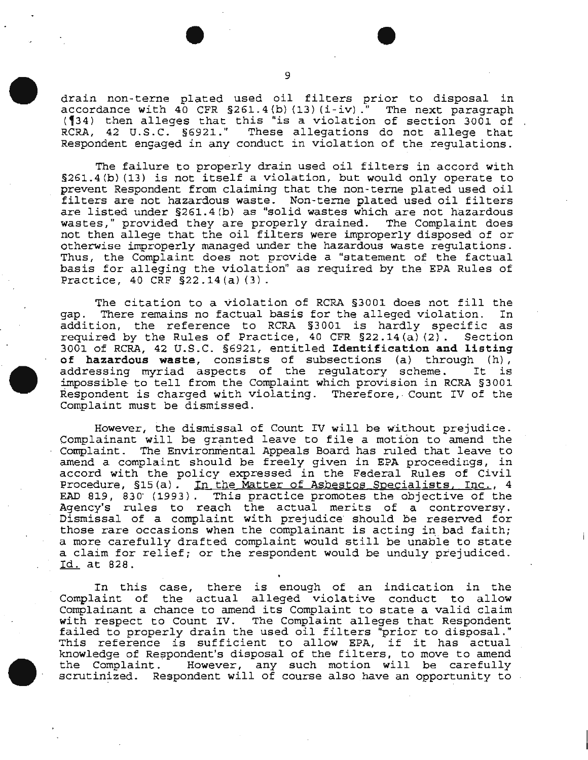drain non-terne plated used oil filters prior to disposal in accordance with  $40$  CFR  $$261.4(b) (13) (i-iv)$ ." The next paragraph  $(134)$  then alleges that this "is a violation of section 3001 of RCRA, 42 u.s.c. §6921.'' These allegations do not allege that Respondent engaged in any conduct in violation of the regulations.

The failure to properly drain used oil filters in accord with §261.4(b) (13) is not itself a violation, but would only operate to prevent Respondent from claiming that the non-terne plated used oil filters are not hazardous waste. Non-terne plated used oil filters are listed under §261.4 (b) as "solid wastes which are not hazardous wastes," provided they are properly drained. The Complaint does not then allege that the oil filters were improperly disposed of or otherwise improperly managed under the hazardous waste regulations. Thus, the Complaint does not provide a "statement of the factual basis for alleging the violation" as required by the EPA Rules of Practice, 40 CRF §22.14(a) (3).

The citation to a violation of RCRA §3001 does not fill the<br>There remains no factual basis for the alleged violation. In gap. There remains no factual basis for the alleged violation. addition, the reference to RCRA §3001 is hardly specific as required by the Rules of Practice, 40 CFR  $\S 22.14$  (a) (2). 3001 of RCRA, 42 U.S.C. §6921, entitled Identification and listing of hazardous waste, consists of subsections (a) through (h) , of hazardous waste, consists of subsections (a) through (n),<br>addressing myriad aspects of the regulatory scheme. It is impossible· to tell from the Complaint which provision in RCRA §3001 Respondent is charged with violating. Therefore, Count IV of the Complaint must be dismissed.

However, the dismissal of Count IV will be without prejudice. Complainant will be granted leave to file a motion to amend the Complaint. The Environmental Appeals Board has ruled that leave to amend a complaint should be freely given in EPA proceedings, in accord with the policy expressed in the Federal Rules of Civil Procedure, §15(a). In the Matter of Asbestos Specialists, Inc., 4 EAD 819, 830" (1993). This practice promotes the objective of the Agency's rules to reach the actual merits of a controversy. Dismissal of a complaint with prejudice should be reserved for those rare occasions when the complainant is acting in bad faith; a more carefully drafted complaint would still be unable to state a claim for relief; or the respondent would be unduly prejudiced. Id. at 828.

In this case, there is enough of an indication in the Complaint of the actual alleged violative conduct to allow Complainant a chance to amend its Complaint to state a valid claim<br>with respect to Count IV. The Complaint alleges that Respondent The Complaint alleges that Respondent with respect to count iv. The complaint alleges that Respondent<br>failed to properly drain the used oil filters "prior to disposal." railed to properly drain the used oil filters prior to disposal.<br>This reference is sufficient to allow EPA, if it has actual knowledge of Respondent's disposal of the filters, to move to amend<br>the Complaint. However, any such motion will be carefully However, any such motion will be carefully scrutinized. Respondent will of course also have an opportunity to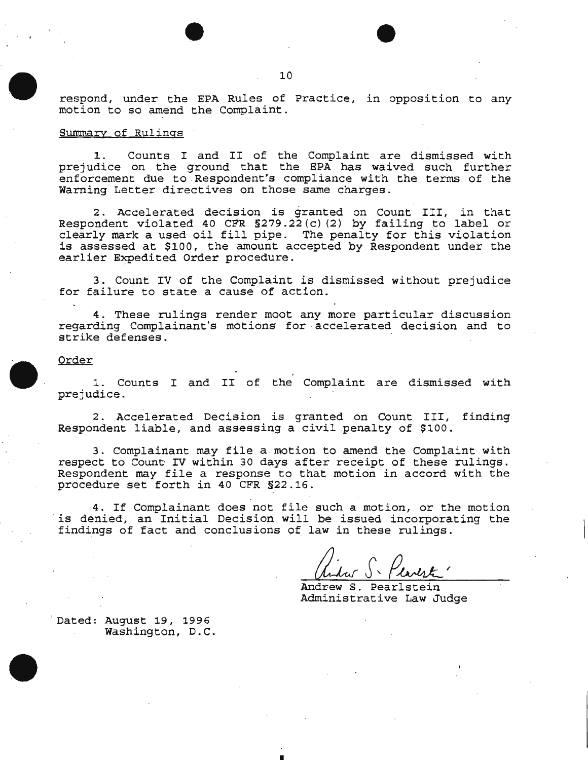respond, under the EPA Rules of Practice, in opposition to any motion to so amend the Complaint.

### Summary of Rulings

1. Counts I and II of the Complaint are dismissed with prejudice on the ground that the EPA has waived such further enforcement due to Respondent's compliance with the terms of the Warning Letter directives on those same charges.

2. Accelerated decision *is* granted on Count III, in that Respondent violated 40 CFR §279.22(c) (2) by failing to label or clearly mark a used oil fill pipe. The penalty for this violation is assessed at \$100, the amount accepted by Respondent under the earlier Expedited Order procedure.

3. Count IV of the Complaint is dismissed without prejudice for failure to state a cause of action.

4. These rulings render moot any more particular discussion regarding Complainant's motions· for accelerated decision and to strike defenses.

#### Order

1. Counts I and II of the Complaint are dismissed with prejudice.

2. Accelerated Decision *is* granted on Count III, finding Respondent liable, and assessing a civil penalty of \$100.

3. Complainant may file a motion to amend the Complaint with respect to Count IV within 30 days after receipt of these rulings. Respondent may file a response to that motion in accord with the procedure set forth in 40 CFR §22.16.

4. If Complainant does not file such a motion, or the motion is denied, an Initial Decision will be issued incorporating the findings of fact and conclusions of law in these rulings.

•

Andrew S. Pearlstein Administrative Law Judge

: Dated: August 19, 1996 Washington, D.C.